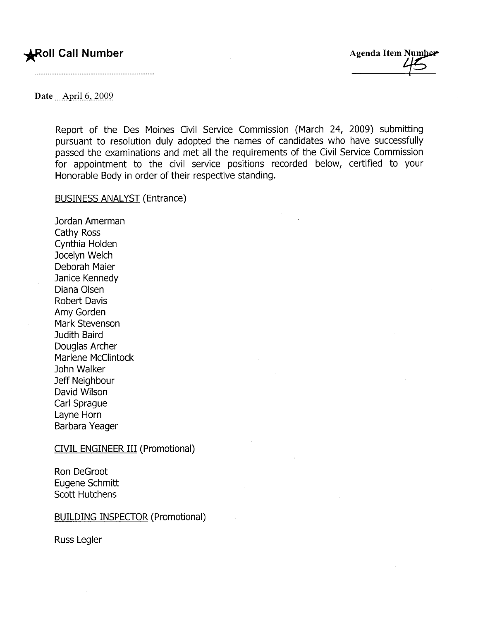## ~oll Call Number Agenda Item ~

Date April 6, 2009

Report of the Des Moines Civil Service Commission (March 24, 2009) submitting pursuant to resolution duly adopted the names of candidates who have successfully passed the examinations and met all the requirements of the Civil Service Commission for appointment to the civil service positions recorded below, certified to your Honorable Body in order of their respective standing.

BUSINESS ANALYST (Entrance)

Jordan Amerman Cathy Ross Cynthia Holden Jocelyn Welch Deborah Maier Janice Kennedy Diana Olsen Robert Davis Amy Gorden Mark Stevenson Judith Baird Douglas Archer Marlene McClintock John Walker Jeff Neighbour David Wilson Carl Sprague Layne Horn Barbara Yeager

CIVIL ENGINEER III (Promotional)

Ron DeGroot Eugene Schmitt Scott Hutchens

## BUILDING INSPECTOR (Promotional)

Russ Legler